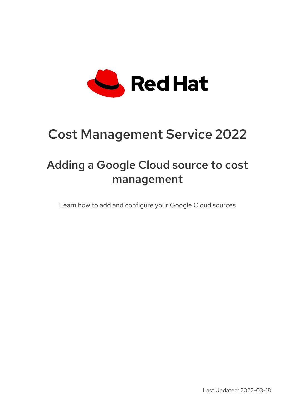

# Cost Management Service 2022

# Adding a Google Cloud source to cost management

Learn how to add and configure your Google Cloud sources

Last Updated: 2022-03-18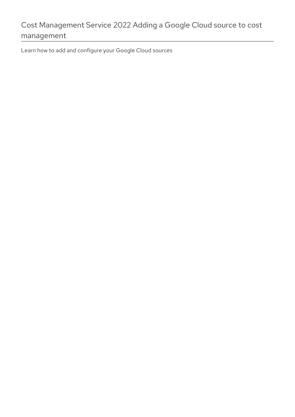# Cost Management Service 2022 Adding a Google Cloud source to cost management

Learn how to add and configure your Google Cloud sources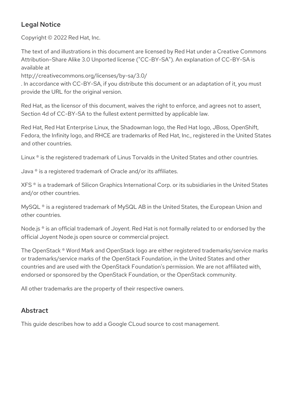### Legal Notice

Copyright © 2022 Red Hat, Inc.

The text of and illustrations in this document are licensed by Red Hat under a Creative Commons Attribution–Share Alike 3.0 Unported license ("CC-BY-SA"). An explanation of CC-BY-SA is available at

http://creativecommons.org/licenses/by-sa/3.0/

. In accordance with CC-BY-SA, if you distribute this document or an adaptation of it, you must provide the URL for the original version.

Red Hat, as the licensor of this document, waives the right to enforce, and agrees not to assert, Section 4d of CC-BY-SA to the fullest extent permitted by applicable law.

Red Hat, Red Hat Enterprise Linux, the Shadowman logo, the Red Hat logo, JBoss, OpenShift, Fedora, the Infinity logo, and RHCE are trademarks of Red Hat, Inc., registered in the United States and other countries.

Linux ® is the registered trademark of Linus Torvalds in the United States and other countries.

Java ® is a registered trademark of Oracle and/or its affiliates.

XFS ® is a trademark of Silicon Graphics International Corp. or its subsidiaries in the United States and/or other countries.

MySQL<sup>®</sup> is a registered trademark of MySQL AB in the United States, the European Union and other countries.

Node.js ® is an official trademark of Joyent. Red Hat is not formally related to or endorsed by the official Joyent Node.js open source or commercial project.

The OpenStack ® Word Mark and OpenStack logo are either registered trademarks/service marks or trademarks/service marks of the OpenStack Foundation, in the United States and other countries and are used with the OpenStack Foundation's permission. We are not affiliated with, endorsed or sponsored by the OpenStack Foundation, or the OpenStack community.

All other trademarks are the property of their respective owners.

### Abstract

This guide describes how to add a Google CLoud source to cost management.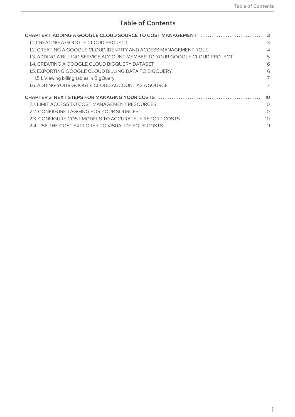# Table of Contents

| 1.1. CREATING A GOOGLE CLOUD PROJECT                                      |  |
|---------------------------------------------------------------------------|--|
| 1.2. CREATING A GOOGLE CLOUD IDENTITY AND ACCESS MANAGEMENT ROLE          |  |
| 1.3. ADDING A BILLING SERVICE ACCOUNT MEMBER TO YOUR GOOGLE CLOUD PROJECT |  |
| 1.4. CREATING A GOOGLE CLOUD BIGQUERY DATASET                             |  |
| 1.5. EXPORTING GOOGLE CLOUD BILLING DATA TO BIGQUERY                      |  |
| 1.5.1. Viewing billing tables in BigQuery                                 |  |
| 1.6. ADDING YOUR GOOGLE CLOUD ACCOUNT AS A SOURCE                         |  |
|                                                                           |  |
| 2.1. LIMIT ACCESS TO COST MANAGEMENT RESOURCES                            |  |
| 2.2. CONFIGURE TAGGING FOR YOUR SOURCES                                   |  |
| 2.3. CONFIGURE COST MODELS TO ACCURATELY REPORT COSTS                     |  |
| 2.4. USE THE COST EXPLORER TO VISUALIZE YOUR COSTS                        |  |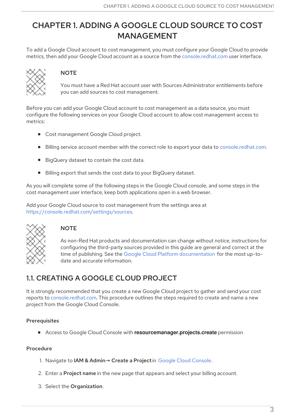# <span id="page-6-0"></span>CHAPTER 1. ADDING A GOOGLE CLOUD SOURCE TO COST MANAGEMENT

To add a Google Cloud account to cost management, you must configure your Google Cloud to provide metrics, then add your Google Cloud account as a source from the [console.redhat.com](https://console.redhat.com) user interface.



### **NOTE**

You must have a Red Hat account user with Sources Administrator entitlements before you can add sources to cost management.

Before you can add your Google Cloud account to cost management as a data source, you must configure the following services on your Google Cloud account to allow cost management access to metrics:

- Cost management Google Cloud project.
- Billing service account member with the correct role to export your data to [console.redhat.com.](https://console.redhat.com)
- BigQuery dataset to contain the cost data.
- Billing export that sends the cost data to your BigQuery dataset.

As you will complete some of the following steps in the Google Cloud console, and some steps in the cost management user interface, keep both applications open in a web browser.

Add your Google Cloud source to cost management from the settings area at <https://console.redhat.com/settings/sources>.



### **NOTE**

As non-Red Hat products and documentation can change without notice, instructions for configuring the third-party sources provided in this guide are general and correct at the time of publishing. See the Google Cloud Platform [documentation](https://cloud.google.com/docs) for the most up-todate and accurate information.

# <span id="page-6-1"></span>1.1. CREATING A GOOGLE CLOUD PROJECT

It is strongly recommended that you create a new Google Cloud project to gather and send your cost reports to [console.redhat.com](https://console.redhat.com). This procedure outlines the steps required to create and name a new project from the Google Cloud Console.

### **Prerequisites**

Access to Google Cloud Console with **resourcemanager.projects.create** permission

### Procedure

- 1. Navigate to IAM & Admin→ Create a Project in Google Cloud [Console.](https://console.cloud.google.com/)
- 2. Enter a Project name in the new page that appears and select your billing account.
- 3. Select the Organization.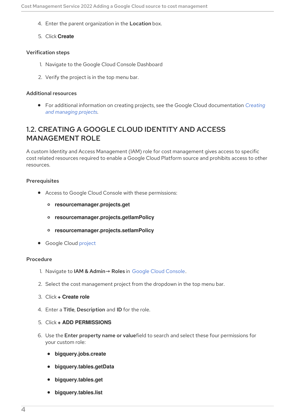- 4. Enter the parent organization in the Location box.
- 5. Click **Create**

#### Verification steps

- 1. Navigate to the Google Cloud Console Dashboard
- 2. Verify the project is in the top menu bar.

#### Additional resources

For additional information on creating projects, see the Google Cloud [documentation](https://cloud.google.com/resource-manager/docs/creating-managing-projects) *Creating and managing projects*.

## <span id="page-7-0"></span>1.2. CREATING A GOOGLE CLOUD IDENTITY AND ACCESS MANAGEMENT ROLE

A custom Identity and Access Management (IAM) role for cost management gives access to specific cost related resources required to enable a Google Cloud Platform source and prohibits access to other resources.

#### **Prerequisites**

- Access to Google Cloud Console with these permissions:
	- **resourcemanager.projects.get**
	- **resourcemanager.projects.getIamPolicy**
	- **resourcemanager.projects.setIamPolicy**
- Google Cloud [project](#page-6-1)

#### Procedure

- 1. Navigate to IAM & Admin→ Roles in Google Cloud [Console.](https://console.cloud.google.com/)
- 2. Select the cost management project from the dropdown in the top menu bar.
- 3. Click **+ Create role**
- 4. Enter a Title, Description and ID for the role.
- 5. Click **+ ADD PERMISSIONS**
- 6. Use the Enter property name or valuefield to search and select these four permissions for your custom role:
	- **bigquery.jobs.create**
	- **bigquery.tables.getData**
	- **bigquery.tables.get**
	- **bigquery.tables.list**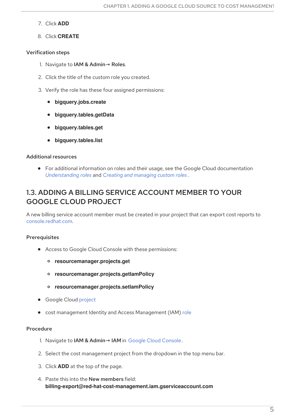- 7. Click **ADD**
- 8. Click **CREATE**

#### Verification steps

- 1. Navigate to IAM & Admin→ Roles.
- 2. Click the title of the custom role you created.
- 3. Verify the role has these four assigned permissions:
	- **bigquery.jobs.create**
	- **bigquery.tables.getData**
	- **bigquery.tables.get**
	- **bigquery.tables.list**

#### Additional resources

For additional information on roles and their usage, see the Google Cloud documentation *[Understanding](https://cloud.google.com/iam/docs/understanding-roles) roles* and *Creating and [managing](https://cloud.google.com/iam/docs/creating-custom-roles) custom roles* .

## <span id="page-8-0"></span>1.3. ADDING A BILLING SERVICE ACCOUNT MEMBER TO YOUR GOOGLE CLOUD PROJECT

A new billing service account member must be created in your project that can export cost reports to [console.redhat.com](https://console.redhat.com).

#### **Prerequisites**

- Access to Google Cloud Console with these permissions:
	- **resourcemanager.projects.get**
	- **resourcemanager.projects.getIamPolicy**
	- **resourcemanager.projects.setIamPolicy**
- Google Cloud [project](#page-6-1)
- cost management Identity and Access Management (IAM) [role](#page-7-0)

#### Procedure

- 1. Navigate to IAM & Admin→ IAM in Google Cloud [Console](https://console.cloud.google.com/).
- 2. Select the cost management project from the dropdown in the top menu bar.
- 3. Click **ADD** at the top of the page.
- 4. Paste this into the New members field: **billing-export@red-hat-cost-management.iam.gserviceaccount.com**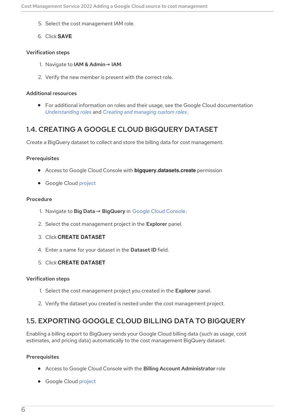- 5. Select the cost management IAM role.
- 6. Click **SAVE**

#### Verification steps

- 1. Navigate to IAM & Admin→ IAM.
- 2. Verify the new member is present with the correct role.

#### Additional resources

For additional information on roles and their usage, see the Google Cloud documentation *[Understanding](https://cloud.google.com/iam/docs/understanding-roles) roles* and *Creating and [managing](https://cloud.google.com/iam/docs/creating-custom-roles) custom roles* .

## <span id="page-9-0"></span>1.4. CREATING A GOOGLE CLOUD BIGQUERY DATASET

Create a BigQuery dataset to collect and store the billing data for cost management.

#### **Prerequisites**

- Access to Google Cloud Console with **bigquery.datasets.create** permission
- Google Cloud [project](#page-6-1)

#### Procedure

- 1. Navigate to Big Data → BigQuery in Google Cloud [Console.](https://console.cloud.google.com/)
- 2. Select the cost management project in the Explorer panel.
- 3. Click **CREATE DATASET**
- 4. Enter a name for your dataset in the Dataset ID field.
- 5. Click **CREATE DATASET**

#### Verification steps

- 1. Select the cost management project you created in the Explorer panel.
- 2. Verify the dataset you created is nested under the cost management project.

### <span id="page-9-1"></span>1.5. EXPORTING GOOGLE CLOUD BILLING DATA TO BIGQUERY

Enabling a billing export to BigQuery sends your Google Cloud billing data (such as usage, cost estimates, and pricing data) automatically to the cost management BigQuery dataset.

#### **Prerequisites**

- Access to Google Cloud Console with the Billing Account Administrator role
- Google Cloud [project](#page-6-1)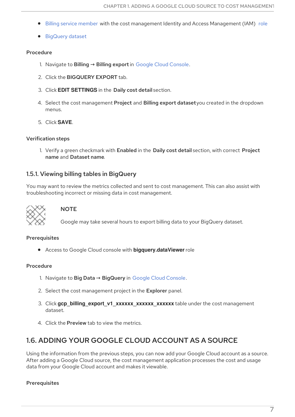- <span id="page-10-2"></span>Billing service [member](#page-8-0) with the cost management Identity and Access Management (IAM) [role](#page-7-0)
- [BigQuery](#page-9-0) dataset

#### Procedure

- 1. Navigate to Billing  $\rightarrow$  Billing export in Google Cloud [Console](https://console.cloud.google.com/).
- 2. Click the BIGQUERY EXPORT tab.
- 3. Click **EDIT SETTINGS** in the Daily cost detail section.
- 4. Select the cost management Project and Billing export datasetyou created in the dropdown menus.
- 5. Click **SAVE**.

#### Verification steps

1. Verify a green checkmark with Enabled in the Daily cost detail section, with correct Project name and Dataset name.

#### <span id="page-10-0"></span>1.5.1. Viewing billing tables in BigQuery

You may want to review the metrics collected and sent to cost management. This can also assist with troubleshooting incorrect or missing data in cost management.



#### **NOTE**

Google may take several hours to export billing data to your BigQuery dataset.

#### **Prerequisites**

Access to Google Cloud console with **bigquery.dataViewer** role

#### Procedure

- 1. Navigate to Big Data → BigQuery in Google Cloud [Console.](https://console.cloud.google.com/)
- 2. Select the cost management project in the Explorer panel.
- 3. Click **gcp\_billing\_export\_v1\_xxxxxx\_xxxxxxxxxxx** table under the cost management dataset.
- 4. Click the Preview tab to view the metrics.

### <span id="page-10-1"></span>1.6. ADDING YOUR GOOGLE CLOUD ACCOUNT AS A SOURCE

Using the information from the previous steps, you can now add your Google Cloud account as a source. After adding a Google Cloud source, the cost management application processes the cost and usage data from your Google Cloud account and makes it viewable.

#### Prerequisites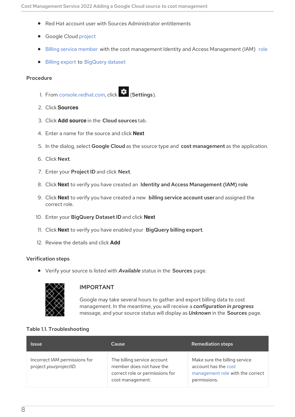- Red Hat account user with Sources Administrator entitlements
- Google Cloud [project](#page-6-1)
- Billing service [member](#page-8-0) with the cost management Identity and Access Management (IAM) [role](#page-7-0)
- **•** Billing [export](#page-10-2) to [BigQuery](#page-9-0) dataset

#### Procedure

- 1. From [console.redhat.com,](https://console.redhat.com) click **4** (Settings).
- 2. Click **Sources**
- 3. Click **Add source** in the Cloud sources tab.
- 4. Enter a name for the source and click **Next**
- 5. In the dialog, select Google Cloud as the source type and cost management as the application.
- 6. Click Next.
- 7. Enter your Project ID and click Next.
- 8. Click **Next** to verify you have created an Identity and Access Management (IAM) role.
- 9. Click **Next** to verify you have created a new billing service account userand assigned the correct role.
- 10. Enter your BigQuery Dataset ID and click **Next**
- 11. Click **Next** to verify you have enabled your BigQuery billing export.
- 12. Review the details and click **Add**

#### Verification steps

Verify your source is listed with *Available* status in the Sources page.



#### IMPORTANT

Google may take several hours to gather and export billing data to cost management. In the meantime, you will receive a *configuration in progress* message, and your source status will display as *Unknown* in the Sources page.

### Table 1.1. Troubleshooting

| <b>Issue</b>                                            | Cause                                                                                                          | <b>Remediation steps</b>                                                                                  |
|---------------------------------------------------------|----------------------------------------------------------------------------------------------------------------|-----------------------------------------------------------------------------------------------------------|
| Incorrect IAM permissions for<br>project yourprojectID. | The billing service account<br>member does not have the<br>correct role or permissions for<br>cost management. | Make sure the billing service<br>account has the cost<br>management role with the correct<br>permissions. |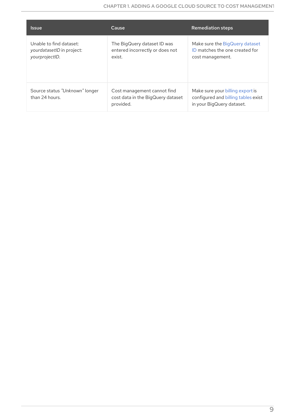| lssue                                                                  | Cause                                                                         | <b>Remediation steps</b>                                                                             |
|------------------------------------------------------------------------|-------------------------------------------------------------------------------|------------------------------------------------------------------------------------------------------|
| Unable to find dataset:<br>yourdatasetID in project:<br>yourprojectID. | The BigQuery dataset ID was<br>entered incorrectly or does not<br>exist.      | Make sure the BigQuery dataset<br>ID matches the one created for<br>cost management.                 |
| Source status "Unknown" longer<br>than 24 hours.                       | Cost management cannot find<br>cost data in the BigQuery dataset<br>provided. | Make sure your billing export is<br>configured and billing tables exist<br>in your BigQuery dataset. |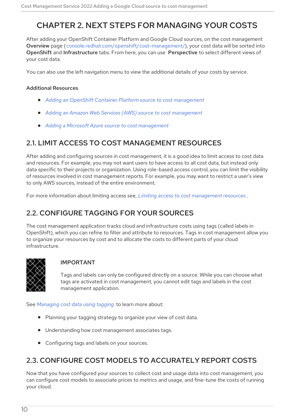# <span id="page-13-0"></span>CHAPTER 2. NEXT STEPS FOR MANAGING YOUR COSTS

After adding your OpenShift Container Platform and Google Cloud sources, on the cost management Overview page ([console.redhat.com/openshift/cost-management/\)](https://console.redhat.com/openshift/cost-management/), your cost data will be sorted into OpenShift and Infrastructure tabs. From here, you can use Perspective to select different views of your cost data.

You can also use the left navigation menu to view the additional details of your costs by service.

#### Additional Resources

- *Adding an OpenShift Container Platform source to cost [management](https://access.redhat.com/documentation/en-us/cost_management_service/2022/html-single/adding_an_openshift_container_platform_source_to_cost_management/index)*
- *Adding an Amazon Web Services (AWS) source to cost [management](https://access.redhat.com/documentation/en-us/cost_management_service/2022/html-single/adding_an_amazon_web_services_aws_source_to_cost_management/index)*
- *Adding a Microsoft Azure source to cost [management](https://access.redhat.com/documentation/en-us/cost_management_service/2022/html-single/adding_a_microsoft_azure_source_to_cost_management/index)*

## <span id="page-13-1"></span>2.1. LIMIT ACCESS TO COST MANAGEMENT RESOURCES

After adding and configuring sources in cost management, it is a good idea to limit access to cost data and resources. For example, you may not want users to have access to all cost data, but instead only data specific to their projects or organization. Using role-based access control, you can limit the visibility of resources involved in cost management reports. For example, you may want to restrict a user's view to only AWS sources, instead of the entire environment.

For more information about limiting access see, *Limiting access to cost [management](https://access.redhat.com/documentation/en-us/cost_management_service/2022/html-single/limiting_access_to_cost_management_resources/index) resources* .

# <span id="page-13-2"></span>2.2. CONFIGURE TAGGING FOR YOUR SOURCES

The cost management application tracks cloud and infrastructure costs using tags (called labels in OpenShift), which you can refine to filter and attribute to resources. Tags in cost management allow you to organize your resources by cost and to allocate the costs to different parts of your cloud infrastructure.



### IMPORTANT

Tags and labels can only be configured directly on a source. While you can choose what tags are activated in cost management, you cannot edit tags and labels in the cost management application.

See *[Managing](https://access.redhat.com/documentation/en-us/cost_management_service/2022/html-single/managing_cost_data_using_tagging/index) cost data using tagging* to learn more about:

- Planning your tagging strategy to organize your view of cost data.
- Understanding how cost management associates tags.
- Configuring tags and labels on your sources.

### <span id="page-13-3"></span>2.3. CONFIGURE COST MODELS TO ACCURATELY REPORT COSTS

Now that you have configured your sources to collect cost and usage data into cost management, you can configure cost models to associate prices to metrics and usage, and fine-tune the costs of running your cloud.